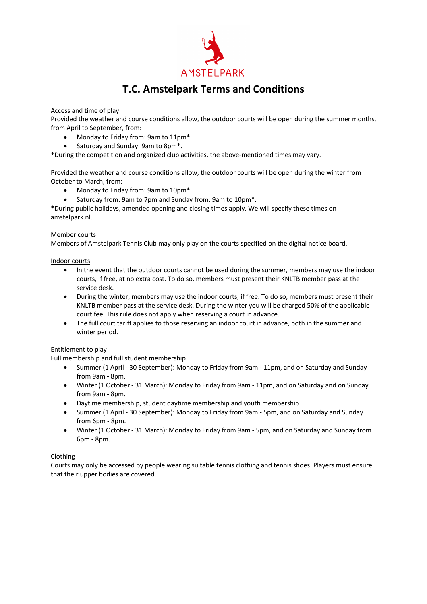

# **T.C. Amstelpark Terms and Conditions**

# Access and time of play

Provided the weather and course conditions allow, the outdoor courts will be open during the summer months, from April to September, from:

- Monday to Friday from: 9am to 11pm\*.
- Saturday and Sunday: 9am to 8pm\*.

\*During the competition and organized club activities, the above-mentioned times may vary.

Provided the weather and course conditions allow, the outdoor courts will be open during the winter from October to March, from:

- Monday to Friday from: 9am to 10pm\*.
- Saturday from: 9am to 7pm and Sunday from: 9am to 10pm\*.

\*During public holidays, amended opening and closing times apply. We will specify these times on amstelpark.nl.

## Member courts

Members of Amstelpark Tennis Club may only play on the courts specified on the digital notice board.

Indoor courts

- In the event that the outdoor courts cannot be used during the summer, members may use the indoor courts, if free, at no extra cost. To do so, members must present their KNLTB member pass at the service desk.
- During the winter, members may use the indoor courts, if free. To do so, members must present their KNLTB member pass at the service desk. During the winter you will be charged 50% of the applicable court fee. This rule does not apply when reserving a court in advance.
- The full court tariff applies to those reserving an indoor court in advance, both in the summer and winter period.

# Entitlement to play

Full membership and full student membership

- Summer (1 April 30 September): Monday to Friday from 9am 11pm, and on Saturday and Sunday from 9am - 8pm.
- Winter (1 October 31 March): Monday to Friday from 9am 11pm, and on Saturday and on Sunday from 9am - 8pm.
- Daytime membership, student daytime membership and youth membership
- Summer (1 April 30 September): Monday to Friday from 9am 5pm, and on Saturday and Sunday from 6pm - 8pm.
- Winter (1 October 31 March): Monday to Friday from 9am 5pm, and on Saturday and Sunday from 6pm - 8pm.

# Clothing

Courts may only be accessed by people wearing suitable tennis clothing and tennis shoes. Players must ensure that their upper bodies are covered.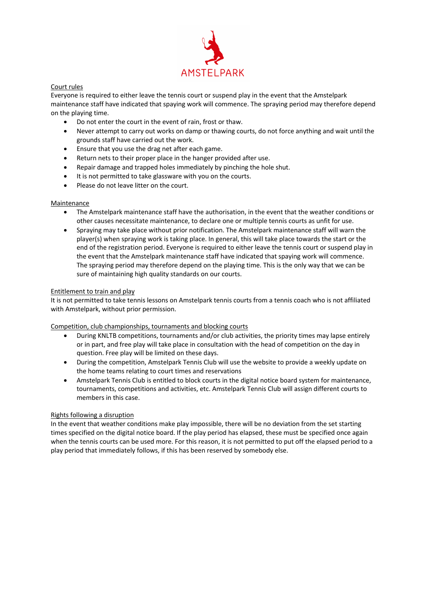

# Court rules

Everyone is required to either leave the tennis court or suspend play in the event that the Amstelpark maintenance staff have indicated that spaying work will commence. The spraying period may therefore depend on the playing time.

- Do not enter the court in the event of rain, frost or thaw.
- Never attempt to carry out works on damp or thawing courts, do not force anything and wait until the grounds staff have carried out the work.
- Ensure that you use the drag net after each game.
- Return nets to their proper place in the hanger provided after use.
- Repair damage and trapped holes immediately by pinching the hole shut.
- It is not permitted to take glassware with you on the courts.
- Please do not leave litter on the court.

## Maintenance

- The Amstelpark maintenance staff have the authorisation, in the event that the weather conditions or other causes necessitate maintenance, to declare one or multiple tennis courts as unfit for use.
- Spraying may take place without prior notification. The Amstelpark maintenance staff will warn the player(s) when spraying work is taking place. In general, this will take place towards the start or the end of the registration period. Everyone is required to either leave the tennis court or suspend play in the event that the Amstelpark maintenance staff have indicated that spaying work will commence. The spraying period may therefore depend on the playing time. This is the only way that we can be sure of maintaining high quality standards on our courts.

## Entitlement to train and play

It is not permitted to take tennis lessons on Amstelpark tennis courts from a tennis coach who is not affiliated with Amstelpark, without prior permission.

## Competition, club championships, tournaments and blocking courts

- During KNLTB competitions, tournaments and/or club activities, the priority times may lapse entirely or in part, and free play will take place in consultation with the head of competition on the day in question. Free play will be limited on these days.
- During the competition, Amstelpark Tennis Club will use the website to provide a weekly update on the home teams relating to court times and reservations
- Amstelpark Tennis Club is entitled to block courts in the digital notice board system for maintenance, tournaments, competitions and activities, etc. Amstelpark Tennis Club will assign different courts to members in this case.

## Rights following a disruption

In the event that weather conditions make play impossible, there will be no deviation from the set starting times specified on the digital notice board. If the play period has elapsed, these must be specified once again when the tennis courts can be used more. For this reason, it is not permitted to put off the elapsed period to a play period that immediately follows, if this has been reserved by somebody else.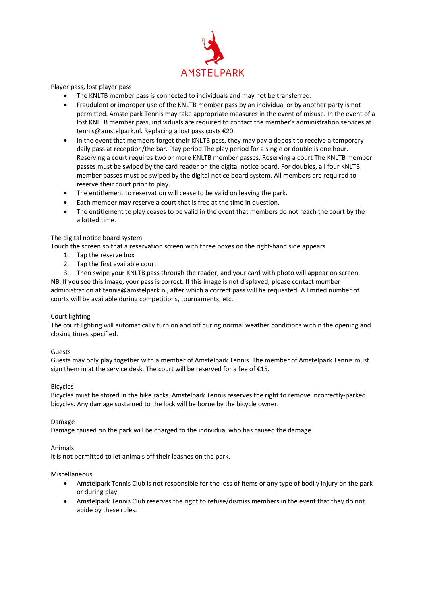

Player pass, lost player pass

- The KNLTB member pass is connected to individuals and may not be transferred.
- Fraudulent or improper use of the KNLTB member pass by an individual or by another party is not permitted. Amstelpark Tennis may take appropriate measures in the event of misuse. In the event of a lost KNLTB member pass, individuals are required to contact the member's administration services at tennis@amstelpark.nl. Replacing a lost pass costs €20.
- In the event that members forget their KNLTB pass, they may pay a deposit to receive a temporary daily pass at reception/the bar. Play period The play period for a single or double is one hour. Reserving a court requires two or more KNLTB member passes. Reserving a court The KNLTB member passes must be swiped by the card reader on the digital notice board. For doubles, all four KNLTB member passes must be swiped by the digital notice board system. All members are required to reserve their court prior to play.
- The entitlement to reservation will cease to be valid on leaving the park.
- Each member may reserve a court that is free at the time in question.
- The entitlement to play ceases to be valid in the event that members do not reach the court by the allotted time.

## The digital notice board system

Touch the screen so that a reservation screen with three boxes on the right-hand side appears

- 1. Tap the reserve box
- 2. Tap the first available court
- 3. Then swipe your KNLTB pass through the reader, and your card with photo will appear on screen.

NB. If you see this image, your pass is correct. If this image is not displayed, please contact member administration at tennis@amstelpark.nl, after which a correct pass will be requested. A limited number of courts will be available during competitions, tournaments, etc.

## Court lighting

The court lighting will automatically turn on and off during normal weather conditions within the opening and closing times specified.

## Guests

Guests may only play together with a member of Amstelpark Tennis. The member of Amstelpark Tennis must sign them in at the service desk. The court will be reserved for a fee of €15.

#### Bicycles

Bicycles must be stored in the bike racks. Amstelpark Tennis reserves the right to remove incorrectly-parked bicycles. Any damage sustained to the lock will be borne by the bicycle owner.

#### Damage

Damage caused on the park will be charged to the individual who has caused the damage.

#### Animals

It is not permitted to let animals off their leashes on the park.

#### Miscellaneous

- Amstelpark Tennis Club is not responsible for the loss of items or any type of bodily injury on the park or during play.
- Amstelpark Tennis Club reserves the right to refuse/dismiss members in the event that they do not abide by these rules.